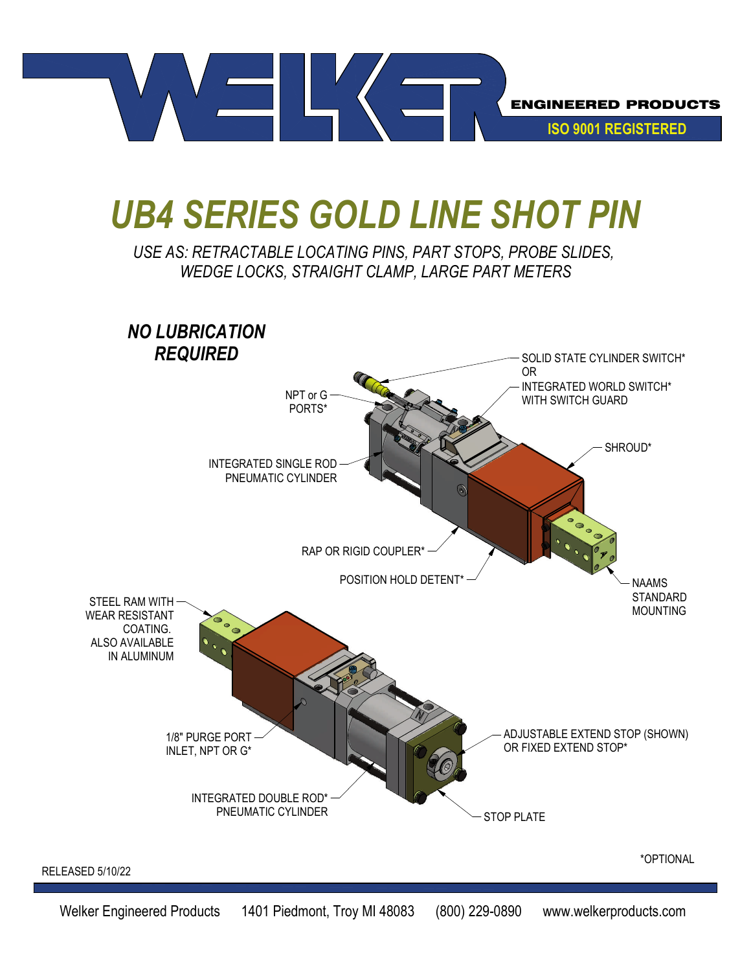

## *UB4 SERIES GOLD LINE SHOT PIN*

## *USE AS: RETRACTABLE LOCATING PINS, PART STOPS, PROBE SLIDES, WEDGE LOCKS, STRAIGHT CLAMP, LARGE PART METERS*

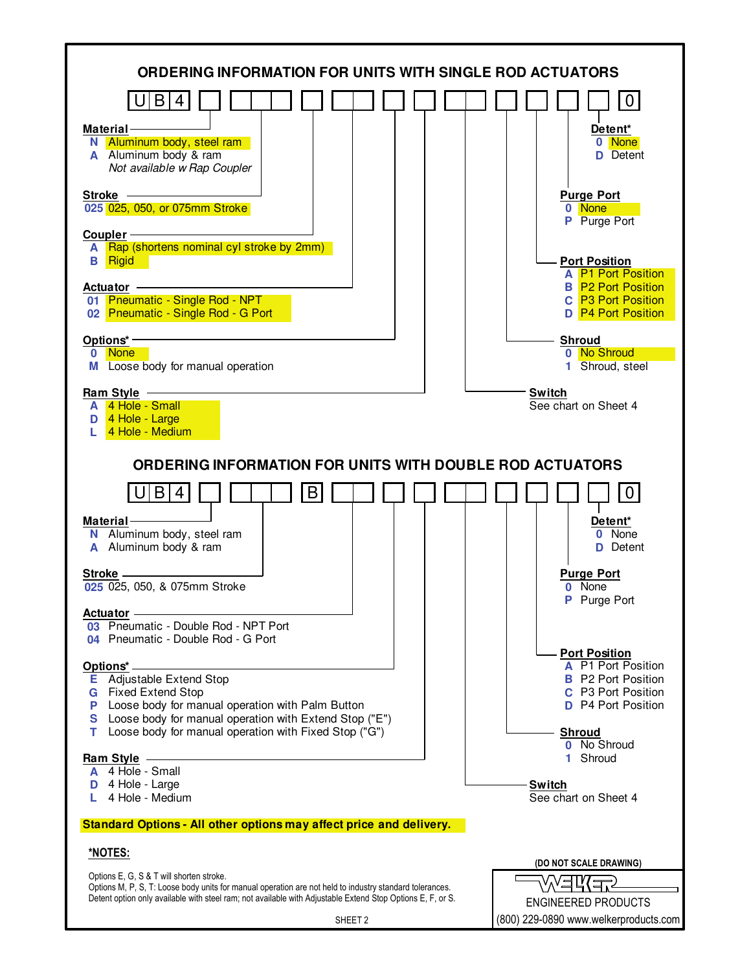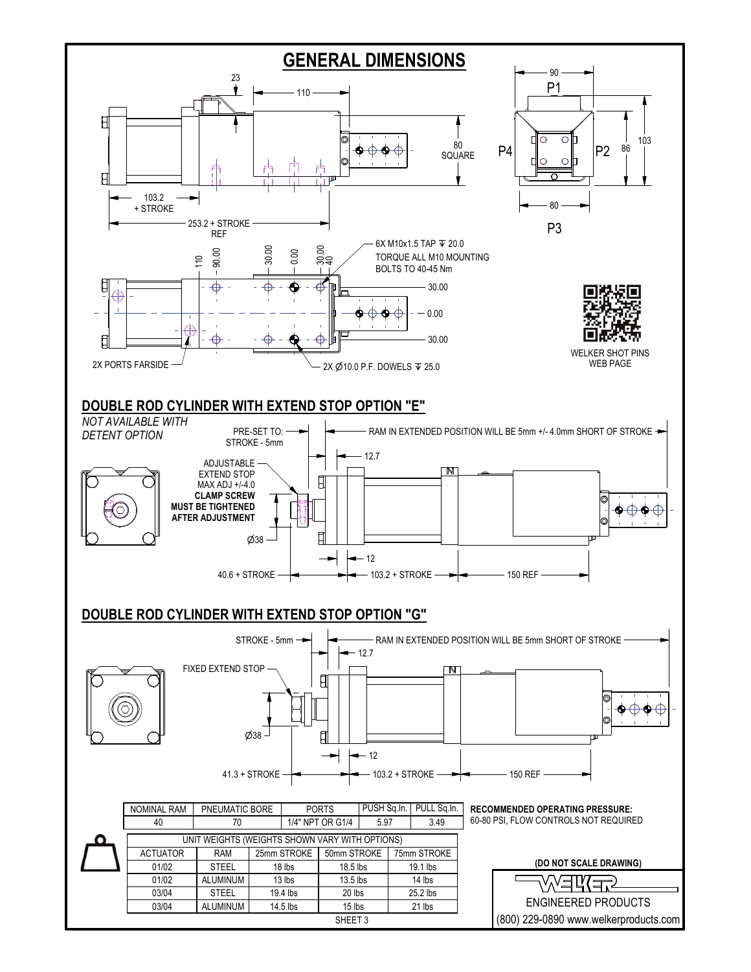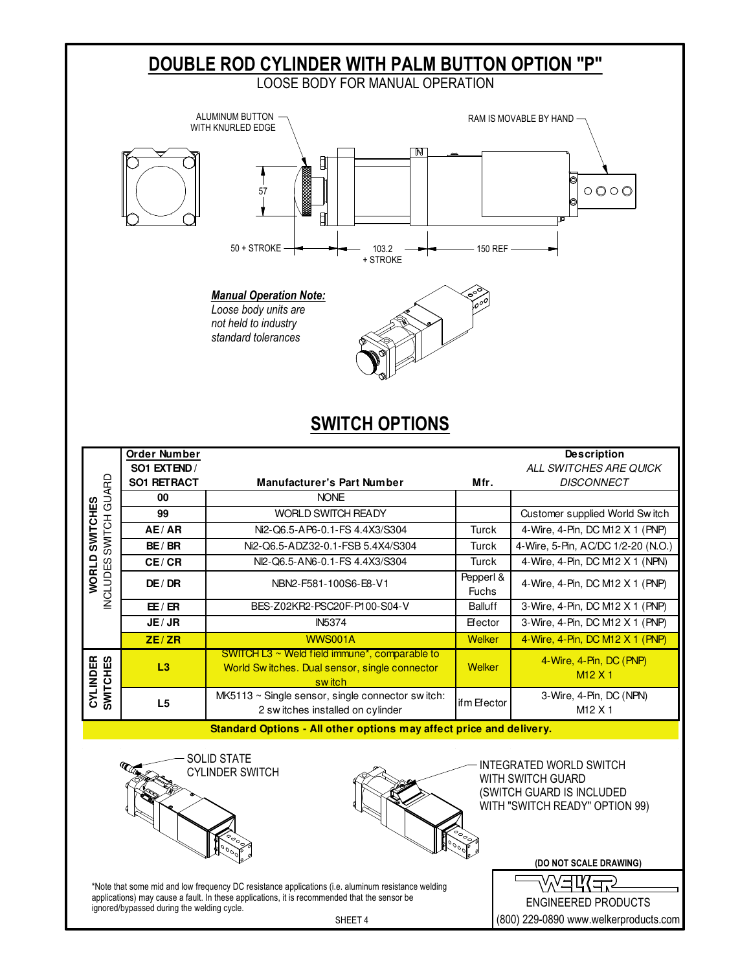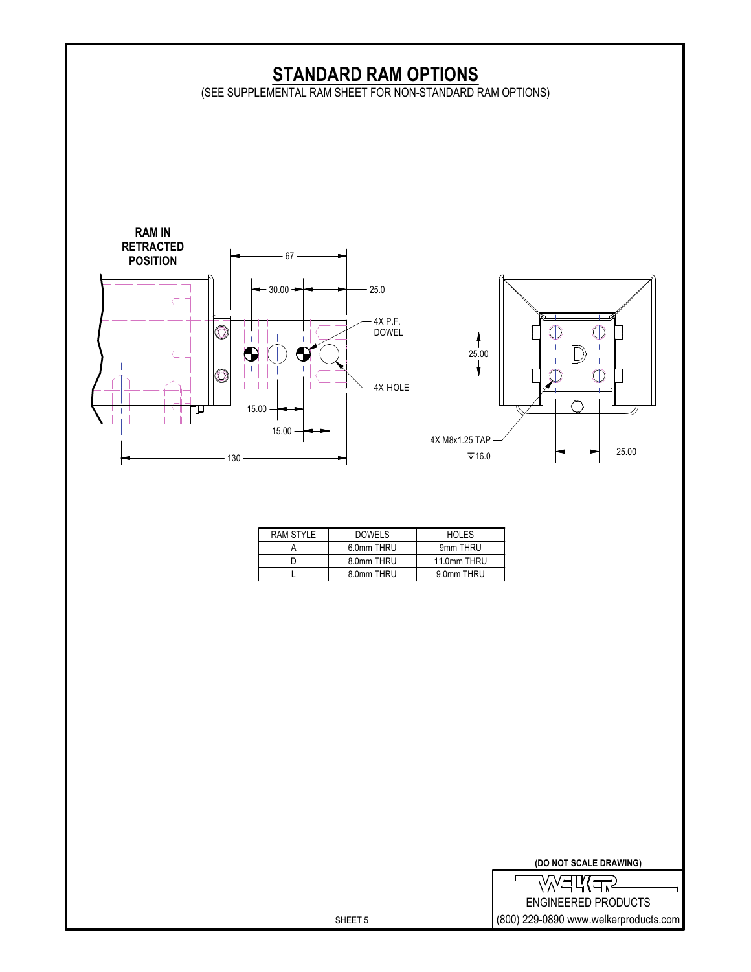

| <b>EWEW</b>                           |
|---------------------------------------|
| ENGINEERED PRODUCTS                   |
| (800) 229-0890 www.welkerproducts.com |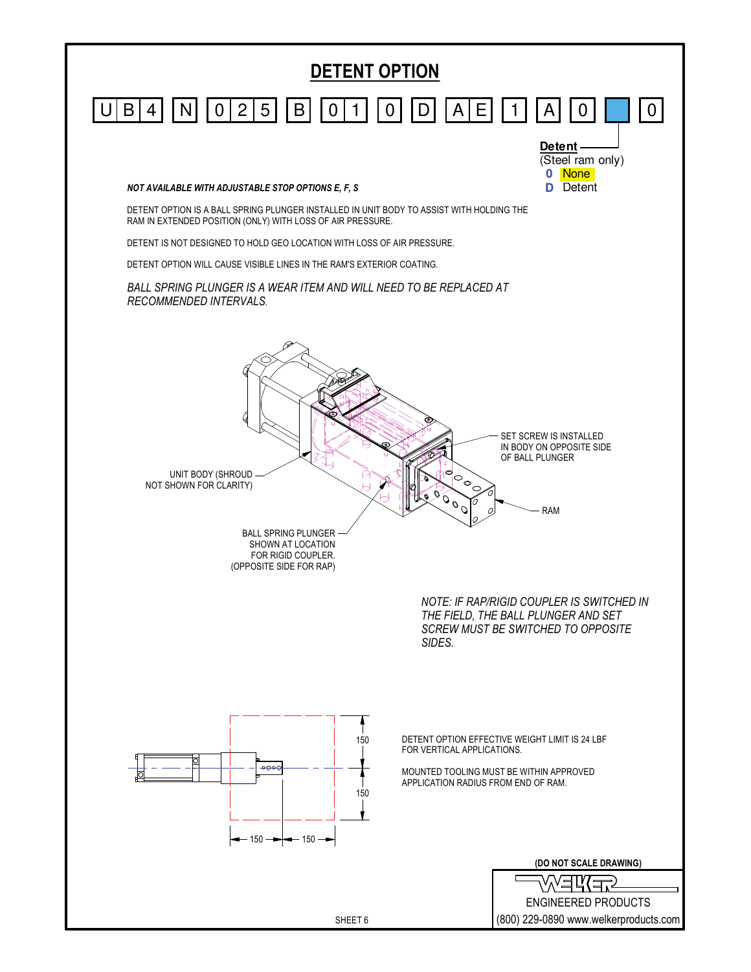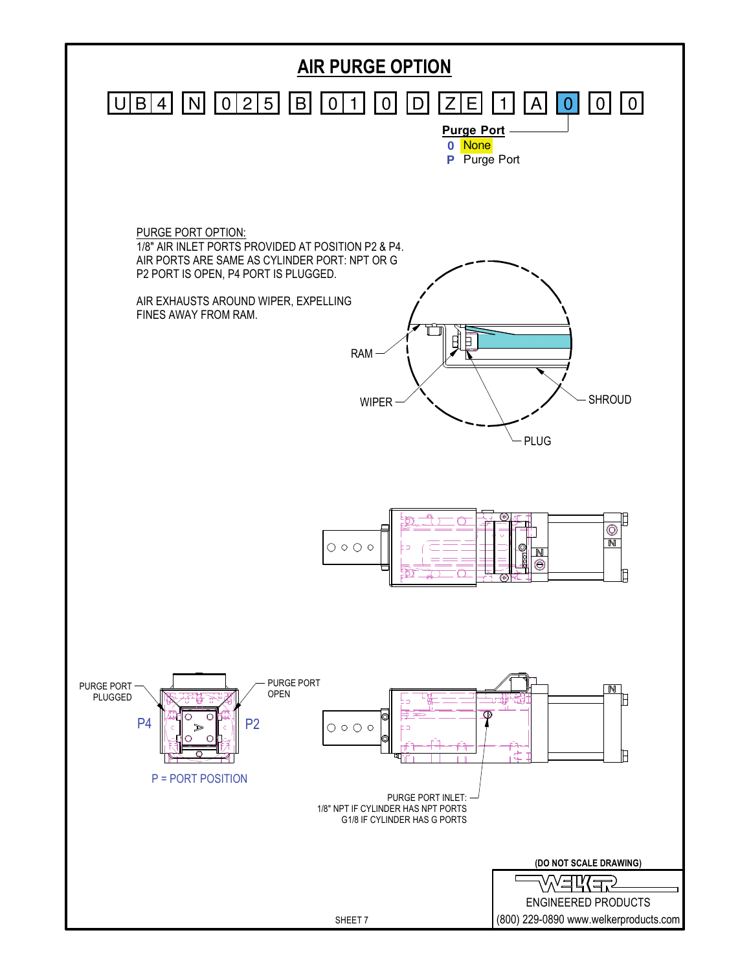